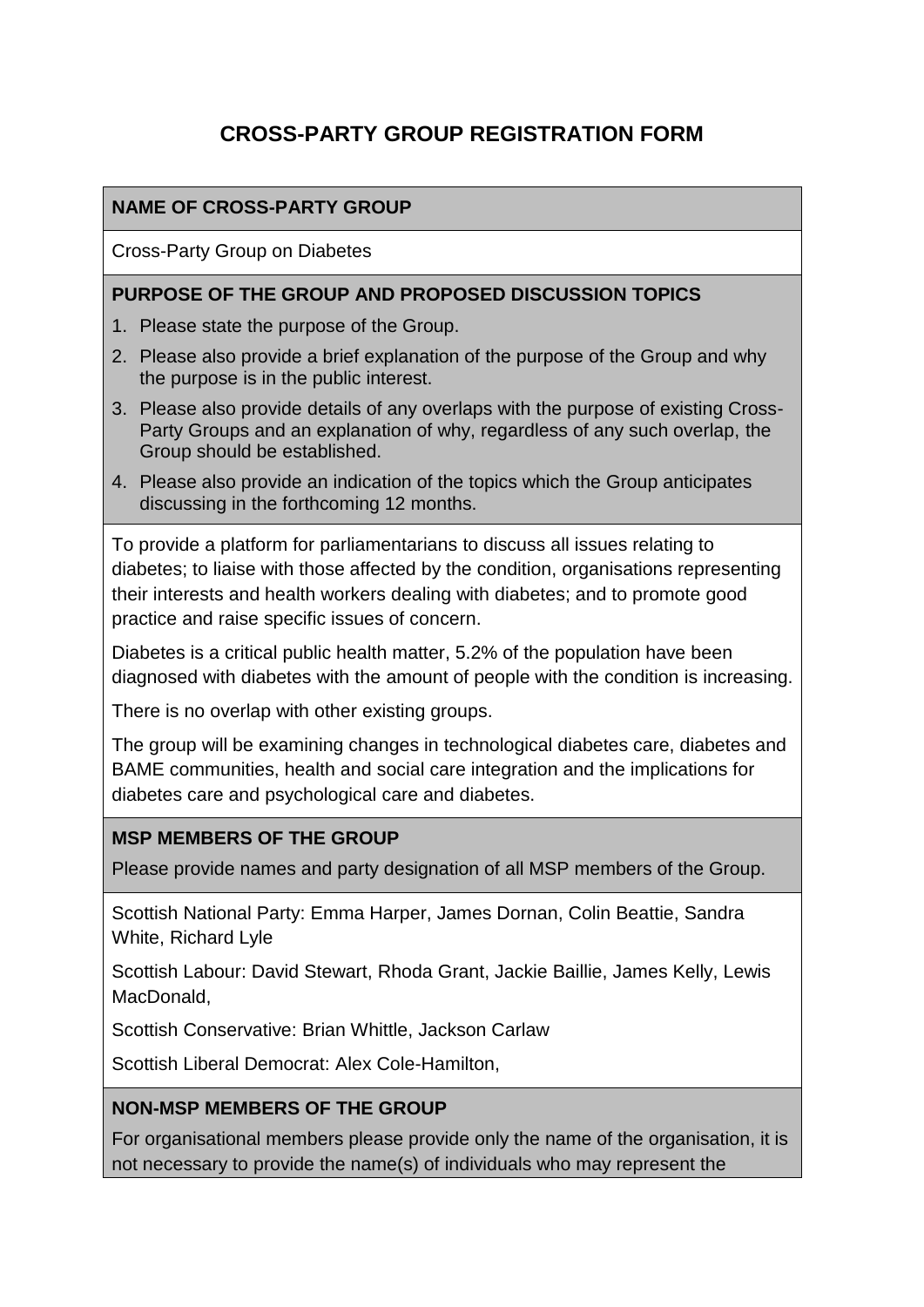# **CROSS-PARTY GROUP REGISTRATION FORM**

### **NAME OF CROSS-PARTY GROUP**

Cross-Party Group on Diabetes

#### **PURPOSE OF THE GROUP AND PROPOSED DISCUSSION TOPICS**

- 1. Please state the purpose of the Group.
- 2. Please also provide a brief explanation of the purpose of the Group and why the purpose is in the public interest.
- 3. Please also provide details of any overlaps with the purpose of existing Cross-Party Groups and an explanation of why, regardless of any such overlap, the Group should be established.
- 4. Please also provide an indication of the topics which the Group anticipates discussing in the forthcoming 12 months.

To provide a platform for parliamentarians to discuss all issues relating to diabetes; to liaise with those affected by the condition, organisations representing their interests and health workers dealing with diabetes; and to promote good practice and raise specific issues of concern.

Diabetes is a critical public health matter, 5.2% of the population have been diagnosed with diabetes with the amount of people with the condition is increasing.

There is no overlap with other existing groups.

The group will be examining changes in technological diabetes care, diabetes and BAME communities, health and social care integration and the implications for diabetes care and psychological care and diabetes.

#### **MSP MEMBERS OF THE GROUP**

Please provide names and party designation of all MSP members of the Group.

Scottish National Party: Emma Harper, James Dornan, Colin Beattie, Sandra White, Richard Lyle

Scottish Labour: David Stewart, Rhoda Grant, Jackie Baillie, James Kelly, Lewis MacDonald,

Scottish Conservative: Brian Whittle, Jackson Carlaw

Scottish Liberal Democrat: Alex Cole-Hamilton,

#### **NON-MSP MEMBERS OF THE GROUP**

For organisational members please provide only the name of the organisation, it is not necessary to provide the name(s) of individuals who may represent the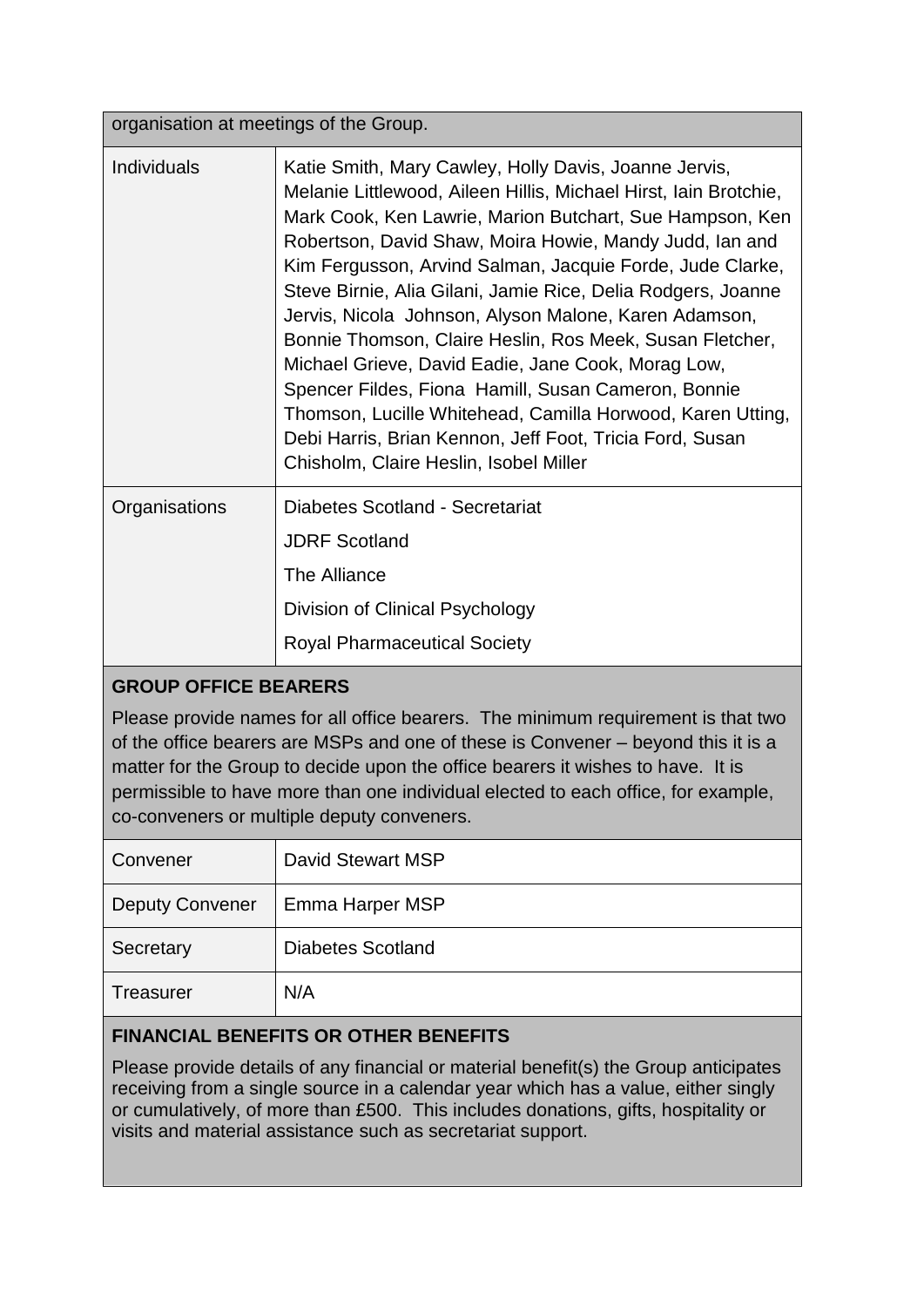organisation at meetings of the Group.

| <b>Individuals</b> | Katie Smith, Mary Cawley, Holly Davis, Joanne Jervis,<br>Melanie Littlewood, Aileen Hillis, Michael Hirst, Iain Brotchie,<br>Mark Cook, Ken Lawrie, Marion Butchart, Sue Hampson, Ken<br>Robertson, David Shaw, Moira Howie, Mandy Judd, Ian and<br>Kim Fergusson, Arvind Salman, Jacquie Forde, Jude Clarke,<br>Steve Birnie, Alia Gilani, Jamie Rice, Delia Rodgers, Joanne<br>Jervis, Nicola Johnson, Alyson Malone, Karen Adamson,<br>Bonnie Thomson, Claire Heslin, Ros Meek, Susan Fletcher,<br>Michael Grieve, David Eadie, Jane Cook, Morag Low,<br>Spencer Fildes, Fiona Hamill, Susan Cameron, Bonnie<br>Thomson, Lucille Whitehead, Camilla Horwood, Karen Utting,<br>Debi Harris, Brian Kennon, Jeff Foot, Tricia Ford, Susan<br>Chisholm, Claire Heslin, Isobel Miller |
|--------------------|-------------------------------------------------------------------------------------------------------------------------------------------------------------------------------------------------------------------------------------------------------------------------------------------------------------------------------------------------------------------------------------------------------------------------------------------------------------------------------------------------------------------------------------------------------------------------------------------------------------------------------------------------------------------------------------------------------------------------------------------------------------------------------------|
| Organisations      | Diabetes Scotland - Secretariat<br><b>JDRF Scotland</b><br>The Alliance<br>Division of Clinical Psychology<br><b>Royal Pharmaceutical Society</b>                                                                                                                                                                                                                                                                                                                                                                                                                                                                                                                                                                                                                                   |

# **GROUP OFFICE BEARERS**

Please provide names for all office bearers. The minimum requirement is that two of the office bearers are MSPs and one of these is Convener – beyond this it is a matter for the Group to decide upon the office bearers it wishes to have. It is permissible to have more than one individual elected to each office, for example, co-conveners or multiple deputy conveners.

| Convener               | David Stewart MSP        |
|------------------------|--------------------------|
| <b>Deputy Convener</b> | Emma Harper MSP          |
| Secretary              | <b>Diabetes Scotland</b> |
| Treasurer              | N/A                      |

# **FINANCIAL BENEFITS OR OTHER BENEFITS**

Please provide details of any financial or material benefit(s) the Group anticipates receiving from a single source in a calendar year which has a value, either singly or cumulatively, of more than £500. This includes donations, gifts, hospitality or visits and material assistance such as secretariat support.